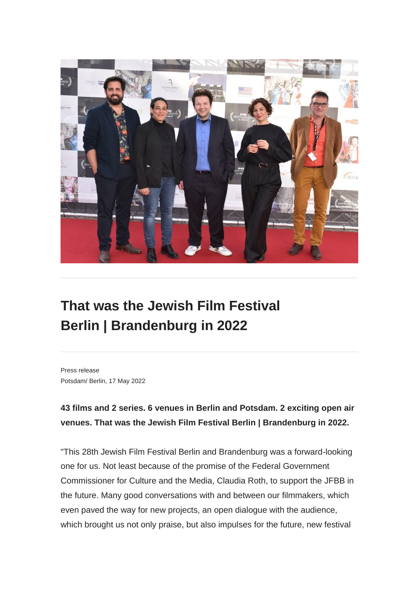

## **That was the Jewish Film Festival Berlin | Brandenburg in 2022**

Press release Potsdam/ Berlin, 17 May 2022

## **43 films and 2 series. 6 venues in Berlin and Potsdam. 2 exciting open air venues. That was the Jewish Film Festival Berlin | Brandenburg in 2022.**

"This 28th Jewish Film Festival Berlin and Brandenburg was a forward-looking one for us. Not least because of the promise of the Federal Government Commissioner for Culture and the Media, Claudia Roth, to support the JFBB in the future. Many good conversations with and between our filmmakers, which even paved the way for new projects, an open dialogue with the audience, which brought us not only praise, but also impulses for the future, new festival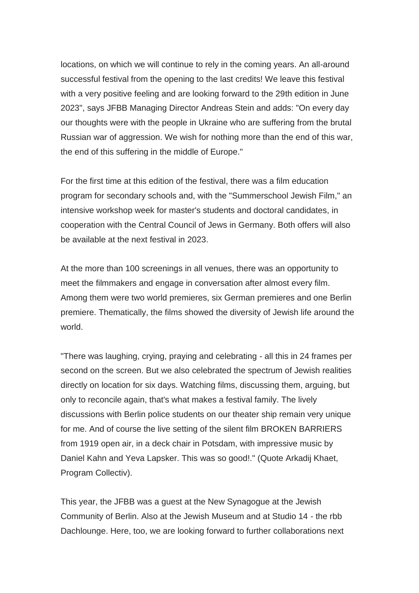locations, on which we will continue to rely in the coming years. An all-around successful festival from the opening to the last credits! We leave this festival with a very positive feeling and are looking forward to the 29th edition in June 2023", says JFBB Managing Director Andreas Stein and adds: "On every day our thoughts were with the people in Ukraine who are suffering from the brutal Russian war of aggression. We wish for nothing more than the end of this war, the end of this suffering in the middle of Europe."

For the first time at this edition of the festival, there was a film education program for secondary schools and, with the "Summerschool Jewish Film," an intensive workshop week for master's students and doctoral candidates, in cooperation with the Central Council of Jews in Germany. Both offers will also be available at the next festival in 2023.

At the more than 100 screenings in all venues, there was an opportunity to meet the filmmakers and engage in conversation after almost every film. Among them were two world premieres, six German premieres and one Berlin premiere. Thematically, the films showed the diversity of Jewish life around the world.

"There was laughing, crying, praying and celebrating - all this in 24 frames per second on the screen. But we also celebrated the spectrum of Jewish realities directly on location for six days. Watching films, discussing them, arguing, but only to reconcile again, that's what makes a festival family. The lively discussions with Berlin police students on our theater ship remain very unique for me. And of course the live setting of the silent film BROKEN BARRIERS from 1919 open air, in a deck chair in Potsdam, with impressive music by Daniel Kahn and Yeva Lapsker. This was so good!." (Quote Arkadij Khaet, Program Collectiv).

This year, the JFBB was a guest at the New Synagogue at the Jewish Community of Berlin. Also at the Jewish Museum and at Studio 14 - the rbb Dachlounge. Here, too, we are looking forward to further collaborations next